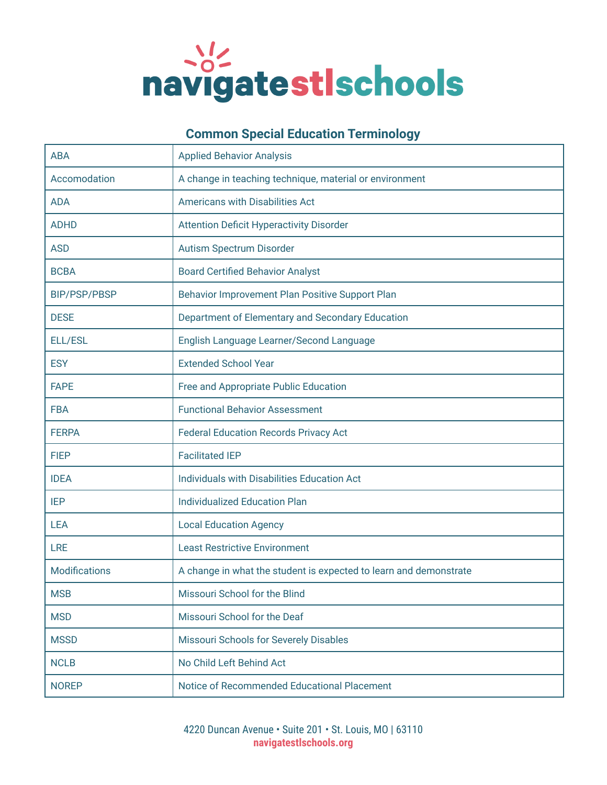

## **Common Special Education Terminology**

| <b>ABA</b>           | <b>Applied Behavior Analysis</b>                                  |
|----------------------|-------------------------------------------------------------------|
| Accomodation         | A change in teaching technique, material or environment           |
| <b>ADA</b>           | Americans with Disabilities Act                                   |
| <b>ADHD</b>          | <b>Attention Deficit Hyperactivity Disorder</b>                   |
| <b>ASD</b>           | <b>Autism Spectrum Disorder</b>                                   |
| <b>BCBA</b>          | <b>Board Certified Behavior Analyst</b>                           |
| <b>BIP/PSP/PBSP</b>  | Behavior Improvement Plan Positive Support Plan                   |
| <b>DESE</b>          | Department of Elementary and Secondary Education                  |
| ELL/ESL              | English Language Learner/Second Language                          |
| <b>ESY</b>           | <b>Extended School Year</b>                                       |
| <b>FAPE</b>          | Free and Appropriate Public Education                             |
| <b>FBA</b>           | <b>Functional Behavior Assessment</b>                             |
| <b>FERPA</b>         | <b>Federal Education Records Privacy Act</b>                      |
| <b>FIEP</b>          | <b>Facilitated IEP</b>                                            |
| <b>IDEA</b>          | Individuals with Disabilities Education Act                       |
| <b>IEP</b>           | <b>Individualized Education Plan</b>                              |
| <b>LEA</b>           | <b>Local Education Agency</b>                                     |
| <b>LRE</b>           | <b>Least Restrictive Environment</b>                              |
| <b>Modifications</b> | A change in what the student is expected to learn and demonstrate |
| <b>MSB</b>           | Missouri School for the Blind                                     |
| <b>MSD</b>           | Missouri School for the Deaf                                      |
| <b>MSSD</b>          | Missouri Schools for Severely Disables                            |
| <b>NCLB</b>          | No Child Left Behind Act                                          |
| <b>NOREP</b>         | Notice of Recommended Educational Placement                       |